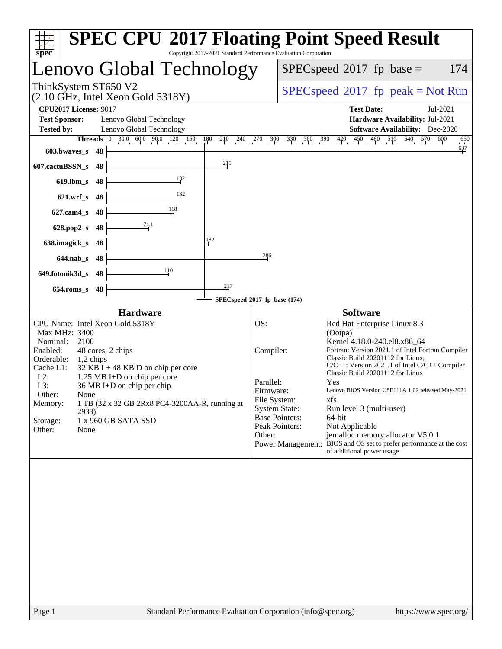| spec <sup>®</sup>                                                                                                                                                                                                                                                                                                                                                                                                        | <b>SPEC CPU®2017 Floating Point Speed Result</b><br>Copyright 2017-2021 Standard Performance Evaluation Corporation                                                                                                                                                                                                                                                                                                                                                                                                                                                                                                                                                        |
|--------------------------------------------------------------------------------------------------------------------------------------------------------------------------------------------------------------------------------------------------------------------------------------------------------------------------------------------------------------------------------------------------------------------------|----------------------------------------------------------------------------------------------------------------------------------------------------------------------------------------------------------------------------------------------------------------------------------------------------------------------------------------------------------------------------------------------------------------------------------------------------------------------------------------------------------------------------------------------------------------------------------------------------------------------------------------------------------------------------|
| Lenovo Global Technology                                                                                                                                                                                                                                                                                                                                                                                                 | $SPEC speed^{\circ}2017$ fp base =<br>174                                                                                                                                                                                                                                                                                                                                                                                                                                                                                                                                                                                                                                  |
| ThinkSystem ST650 V2<br>$(2.10 \text{ GHz}, \text{Intel Xeon Gold } 5318\text{Y})$                                                                                                                                                                                                                                                                                                                                       | $SPEC speed^{\circ}2017\_fp\_peak = Not Run$                                                                                                                                                                                                                                                                                                                                                                                                                                                                                                                                                                                                                               |
| <b>CPU2017 License: 9017</b><br><b>Test Sponsor:</b><br>Lenovo Global Technology<br><b>Tested by:</b><br>Lenovo Global Technology<br><b>Threads</b>                                                                                                                                                                                                                                                                      | <b>Test Date:</b><br>Jul-2021<br>Hardware Availability: Jul-2021<br><b>Software Availability:</b> Dec-2020<br>$\boxed{0\quad 30.0\quad 60.0\quad 90.0\quad 120\quad 150\quad 180\quad 210\quad 240\quad 270\quad 300\quad 330\quad 360\quad 390\quad 420\quad 450\quad 480\quad 510\quad 540\quad 570\quad 600\quad 500\quad 500\quad 510\quad 540\quad 570\quad 600\quad 560\quad 570\quad 580\quad 590\quad 590\quad 500\quad 500\quad 500\quad 510\quad $<br>650<br>637                                                                                                                                                                                                 |
| 603.bwaves_s<br>48<br>215<br>607.cactuBSSN_s<br>48                                                                                                                                                                                                                                                                                                                                                                       |                                                                                                                                                                                                                                                                                                                                                                                                                                                                                                                                                                                                                                                                            |
| 132<br>$619$ .lbm_s<br>48                                                                                                                                                                                                                                                                                                                                                                                                |                                                                                                                                                                                                                                                                                                                                                                                                                                                                                                                                                                                                                                                                            |
| 132<br>$621.wrf$ <sub>S</sub><br>48                                                                                                                                                                                                                                                                                                                                                                                      |                                                                                                                                                                                                                                                                                                                                                                                                                                                                                                                                                                                                                                                                            |
| $\frac{118}{1}$<br>$627$ .cam $4_s$<br>48                                                                                                                                                                                                                                                                                                                                                                                |                                                                                                                                                                                                                                                                                                                                                                                                                                                                                                                                                                                                                                                                            |
| 74.1<br>628.pop2_s<br>48                                                                                                                                                                                                                                                                                                                                                                                                 |                                                                                                                                                                                                                                                                                                                                                                                                                                                                                                                                                                                                                                                                            |
| 182<br>638.imagick_s<br>48                                                                                                                                                                                                                                                                                                                                                                                               |                                                                                                                                                                                                                                                                                                                                                                                                                                                                                                                                                                                                                                                                            |
| $644$ .nab $\sf s$<br>48                                                                                                                                                                                                                                                                                                                                                                                                 | 286                                                                                                                                                                                                                                                                                                                                                                                                                                                                                                                                                                                                                                                                        |
| 110<br>649.fotonik3d_s<br>48                                                                                                                                                                                                                                                                                                                                                                                             |                                                                                                                                                                                                                                                                                                                                                                                                                                                                                                                                                                                                                                                                            |
| 217<br>$654$ .roms_s<br>48                                                                                                                                                                                                                                                                                                                                                                                               |                                                                                                                                                                                                                                                                                                                                                                                                                                                                                                                                                                                                                                                                            |
| <b>Hardware</b>                                                                                                                                                                                                                                                                                                                                                                                                          | SPECspeed®2017_fp_base (174)<br><b>Software</b>                                                                                                                                                                                                                                                                                                                                                                                                                                                                                                                                                                                                                            |
| CPU Name: Intel Xeon Gold 5318Y<br><b>Max MHz: 3400</b><br>Nominal:<br>2100<br>Enabled:<br>48 cores, 2 chips<br>Orderable:<br>1,2 chips<br>Cache L1:<br>$32$ KB I + 48 KB D on chip per core<br>$L2$ :<br>1.25 MB I+D on chip per core<br>36 MB I+D on chip per chip<br>L3:<br>Other:<br>None<br>1 TB (32 x 32 GB 2Rx8 PC4-3200AA-R, running at<br>Memory:<br>2933)<br>1 x 960 GB SATA SSD<br>Storage:<br>Other:<br>None | OS:<br>Red Hat Enterprise Linux 8.3<br>(Ootpa)<br>Kernel 4.18.0-240.el8.x86_64<br>Fortran: Version 2021.1 of Intel Fortran Compiler<br>Compiler:<br>Classic Build 20201112 for Linux;<br>$C/C++$ : Version 2021.1 of Intel $C/C++$ Compiler<br>Classic Build 20201112 for Linux<br>Parallel:<br>Yes<br>Firmware:<br>Lenovo BIOS Version U8E111A 1.02 released May-2021<br>File System:<br>xfs<br><b>System State:</b><br>Run level 3 (multi-user)<br><b>Base Pointers:</b><br>64-bit<br>Peak Pointers:<br>Not Applicable<br>jemalloc memory allocator V5.0.1<br>Other:<br>Power Management: BIOS and OS set to prefer performance at the cost<br>of additional power usage |
|                                                                                                                                                                                                                                                                                                                                                                                                                          |                                                                                                                                                                                                                                                                                                                                                                                                                                                                                                                                                                                                                                                                            |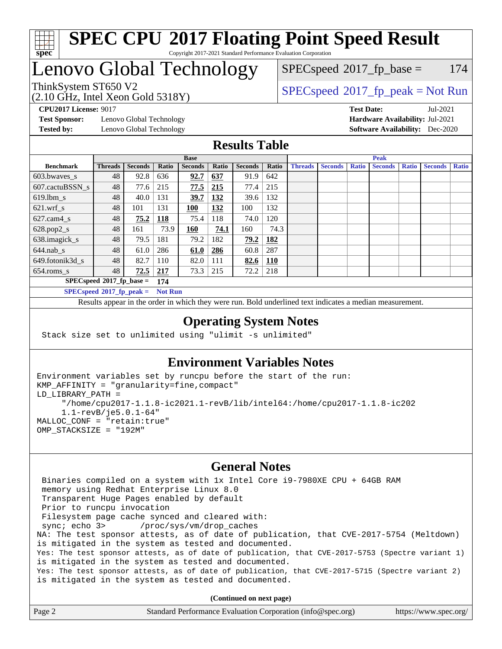

#### **[SPEC CPU](http://www.spec.org/auto/cpu2017/Docs/result-fields.html#SPECCPU2017FloatingPointSpeedResult)[2017 Floating Point Speed Result](http://www.spec.org/auto/cpu2017/Docs/result-fields.html#SPECCPU2017FloatingPointSpeedResult)** Copyright 2017-2021 Standard Performance Evaluation Corporation

### Lenovo Global Technology

 $SPECspeed^{\circledcirc}2017_fp\_base = 174$  $SPECspeed^{\circledcirc}2017_fp\_base = 174$ 

(2.10 GHz, Intel Xeon Gold 5318Y)

ThinkSystem ST650 V2<br>  $SPECspeed^{\circ}2017\_fp\_peak = Not Run$  $SPECspeed^{\circ}2017\_fp\_peak = Not Run$ 

**[Test Sponsor:](http://www.spec.org/auto/cpu2017/Docs/result-fields.html#TestSponsor)** Lenovo Global Technology **[Hardware Availability:](http://www.spec.org/auto/cpu2017/Docs/result-fields.html#HardwareAvailability)** Jul-2021 **[Tested by:](http://www.spec.org/auto/cpu2017/Docs/result-fields.html#Testedby)** Lenovo Global Technology **[Software Availability:](http://www.spec.org/auto/cpu2017/Docs/result-fields.html#SoftwareAvailability)** Dec-2020

**[CPU2017 License:](http://www.spec.org/auto/cpu2017/Docs/result-fields.html#CPU2017License)** 9017 **[Test Date:](http://www.spec.org/auto/cpu2017/Docs/result-fields.html#TestDate)** Jul-2021

### **[Results Table](http://www.spec.org/auto/cpu2017/Docs/result-fields.html#ResultsTable)**

|                  |                             |                |                | <b>Base</b>    |       |                | <b>Peak</b> |                |                |              |                |              |                |              |  |
|------------------|-----------------------------|----------------|----------------|----------------|-------|----------------|-------------|----------------|----------------|--------------|----------------|--------------|----------------|--------------|--|
| <b>Benchmark</b> | <b>Threads</b>              | <b>Seconds</b> | Ratio          | <b>Seconds</b> | Ratio | <b>Seconds</b> | Ratio       | <b>Threads</b> | <b>Seconds</b> | <b>Ratio</b> | <b>Seconds</b> | <b>Ratio</b> | <b>Seconds</b> | <b>Ratio</b> |  |
| 603.bwayes s     | 48                          | 92.8           | 636            | 92.7           | 637   | 91.9           | 642         |                |                |              |                |              |                |              |  |
| 607.cactuBSSN s  | 48                          | 77.6           | 215            | 77.5           | 215   | 77.4           | 215         |                |                |              |                |              |                |              |  |
| $619.$ lbm s     | 48                          | 40.0           | 131            | 39.7           | 132   | 39.6           | 132         |                |                |              |                |              |                |              |  |
| $621.wrf$ s      | 48                          | 101            | 131            | 100            | 132   | 100            | 132         |                |                |              |                |              |                |              |  |
| $627$ .cam4 s    | 48                          | 75.2           | <u>118</u>     | 75.4           | 118   | 74.0           | 120         |                |                |              |                |              |                |              |  |
| $628.pop2_s$     | 48                          | 161            | 73.9           | 160            | 74.1  | 160            | 74.3        |                |                |              |                |              |                |              |  |
| 638.imagick_s    | 48                          | 79.5           | 181            | 79.2           | 182   | 79.2           | 182         |                |                |              |                |              |                |              |  |
| $644$ .nab s     | 48                          | 61.0           | 286            | 61.0           | 286   | 60.8           | 287         |                |                |              |                |              |                |              |  |
| 649.fotonik3d s  | 48                          | 82.7           | 110            | 82.0           | 111   | 82.6           | <b>110</b>  |                |                |              |                |              |                |              |  |
| $654$ .roms s    | 48                          | 72.5           | 217            | 73.3           | 215   | 72.2           | 218         |                |                |              |                |              |                |              |  |
|                  | $SPECspeed*2017_fp\_base =$ |                | 174            |                |       |                |             |                |                |              |                |              |                |              |  |
|                  | $SPECspeed*2017_fp\_peak =$ |                | <b>Not Run</b> |                |       |                |             |                |                |              |                |              |                |              |  |

Results appear in the [order in which they were run.](http://www.spec.org/auto/cpu2017/Docs/result-fields.html#RunOrder) Bold underlined text [indicates a median measurement](http://www.spec.org/auto/cpu2017/Docs/result-fields.html#Median).

#### **[Operating System Notes](http://www.spec.org/auto/cpu2017/Docs/result-fields.html#OperatingSystemNotes)**

Stack size set to unlimited using "ulimit -s unlimited"

#### **[Environment Variables Notes](http://www.spec.org/auto/cpu2017/Docs/result-fields.html#EnvironmentVariablesNotes)**

```
Environment variables set by runcpu before the start of the run:
KMP_AFFINITY = "granularity=fine,compact"
LD_LIBRARY_PATH =
      "/home/cpu2017-1.1.8-ic2021.1-revB/lib/intel64:/home/cpu2017-1.1.8-ic202
      1.1-revB/je5.0.1-64"
MALLOC_CONF = "retain:true"
OMP_STACKSIZE = "192M"
```
#### **[General Notes](http://www.spec.org/auto/cpu2017/Docs/result-fields.html#GeneralNotes)**

 Binaries compiled on a system with 1x Intel Core i9-7980XE CPU + 64GB RAM memory using Redhat Enterprise Linux 8.0 Transparent Huge Pages enabled by default Prior to runcpu invocation Filesystem page cache synced and cleared with: sync; echo 3> /proc/sys/vm/drop\_caches NA: The test sponsor attests, as of date of publication, that CVE-2017-5754 (Meltdown) is mitigated in the system as tested and documented. Yes: The test sponsor attests, as of date of publication, that CVE-2017-5753 (Spectre variant 1) is mitigated in the system as tested and documented. Yes: The test sponsor attests, as of date of publication, that CVE-2017-5715 (Spectre variant 2) is mitigated in the system as tested and documented.

**(Continued on next page)**

| Page 2 | Standard Performance Evaluation Corporation (info@spec.org) | https://www.spec.org/ |
|--------|-------------------------------------------------------------|-----------------------|
|--------|-------------------------------------------------------------|-----------------------|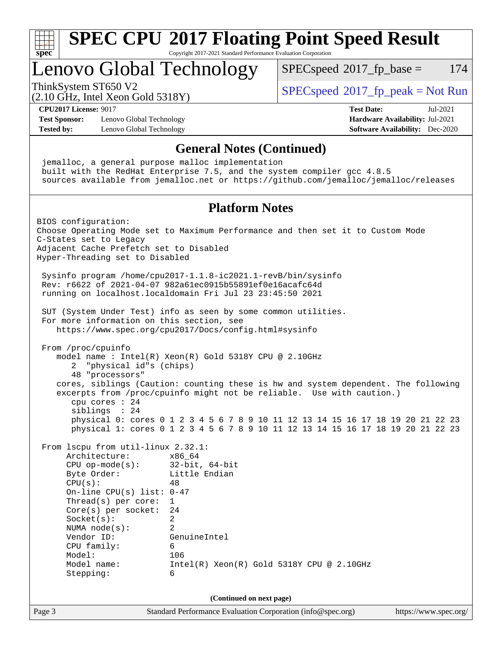| е |  |  |  |  |  |  |  |  |  |
|---|--|--|--|--|--|--|--|--|--|

# **[SPEC CPU](http://www.spec.org/auto/cpu2017/Docs/result-fields.html#SPECCPU2017FloatingPointSpeedResult)[2017 Floating Point Speed Result](http://www.spec.org/auto/cpu2017/Docs/result-fields.html#SPECCPU2017FloatingPointSpeedResult)**

Copyright 2017-2021 Standard Performance Evaluation Corporation

### Lenovo Global Technology

 $SPECspeed^{\circ}2017\_fp\_base = 174$  $SPECspeed^{\circ}2017\_fp\_base = 174$ 

(2.10 GHz, Intel Xeon Gold 5318Y)

ThinkSystem ST650 V2<br>  $SPECspeed^{\circ}2017\_fp\_peak = Not Run$  $SPECspeed^{\circ}2017\_fp\_peak = Not Run$ 

**[CPU2017 License:](http://www.spec.org/auto/cpu2017/Docs/result-fields.html#CPU2017License)** 9017 **[Test Date:](http://www.spec.org/auto/cpu2017/Docs/result-fields.html#TestDate)** Jul-2021

**[Test Sponsor:](http://www.spec.org/auto/cpu2017/Docs/result-fields.html#TestSponsor)** Lenovo Global Technology **[Hardware Availability:](http://www.spec.org/auto/cpu2017/Docs/result-fields.html#HardwareAvailability)** Jul-2021 **[Tested by:](http://www.spec.org/auto/cpu2017/Docs/result-fields.html#Testedby)** Lenovo Global Technology **[Software Availability:](http://www.spec.org/auto/cpu2017/Docs/result-fields.html#SoftwareAvailability)** Dec-2020

#### **[General Notes \(Continued\)](http://www.spec.org/auto/cpu2017/Docs/result-fields.html#GeneralNotes)**

 jemalloc, a general purpose malloc implementation built with the RedHat Enterprise 7.5, and the system compiler gcc 4.8.5 sources available from jemalloc.net or <https://github.com/jemalloc/jemalloc/releases> **[Platform Notes](http://www.spec.org/auto/cpu2017/Docs/result-fields.html#PlatformNotes)** BIOS configuration: Choose Operating Mode set to Maximum Performance and then set it to Custom Mode C-States set to Legacy Adjacent Cache Prefetch set to Disabled Hyper-Threading set to Disabled Sysinfo program /home/cpu2017-1.1.8-ic2021.1-revB/bin/sysinfo Rev: r6622 of 2021-04-07 982a61ec0915b55891ef0e16acafc64d running on localhost.localdomain Fri Jul 23 23:45:50 2021 SUT (System Under Test) info as seen by some common utilities. For more information on this section, see <https://www.spec.org/cpu2017/Docs/config.html#sysinfo> From /proc/cpuinfo model name : Intel(R) Xeon(R) Gold 5318Y CPU @ 2.10GHz 2 "physical id"s (chips) 48 "processors" cores, siblings (Caution: counting these is hw and system dependent. The following excerpts from /proc/cpuinfo might not be reliable. Use with caution.) cpu cores : 24 siblings : 24 physical 0: cores 0 1 2 3 4 5 6 7 8 9 10 11 12 13 14 15 16 17 18 19 20 21 22 23 physical 1: cores 0 1 2 3 4 5 6 7 8 9 10 11 12 13 14 15 16 17 18 19 20 21 22 23 From lscpu from util-linux 2.32.1: Architecture: x86\_64 CPU op-mode(s): 32-bit, 64-bit Byte Order: Little Endian  $CPU(s):$  48 On-line CPU(s) list: 0-47 Thread(s) per core: 1 Core(s) per socket: 24 Socket(s): 2 NUMA node(s): 2 Vendor ID: GenuineIntel CPU family: 6 Model: 106 Model name: Intel(R) Xeon(R) Gold 5318Y CPU @ 2.10GHz Stepping: 6 **(Continued on next page)**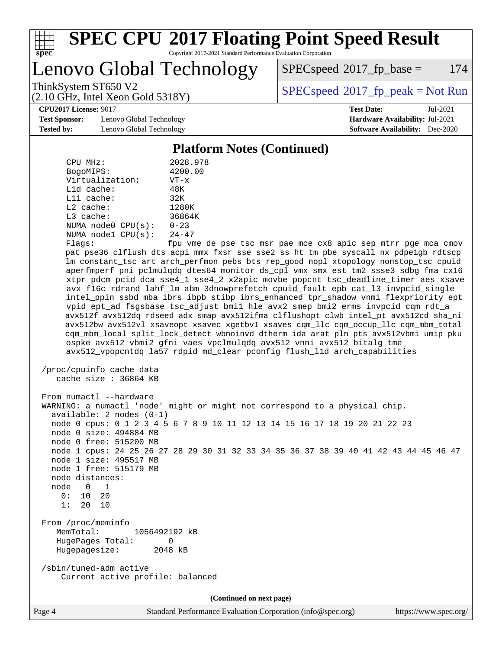

#### **[SPEC CPU](http://www.spec.org/auto/cpu2017/Docs/result-fields.html#SPECCPU2017FloatingPointSpeedResult)[2017 Floating Point Speed Result](http://www.spec.org/auto/cpu2017/Docs/result-fields.html#SPECCPU2017FloatingPointSpeedResult)** Copyright 2017-2021 Standard Performance Evaluation Corporation

Lenovo Global Technology

 $SPEC speed^{\circ}2017\_fp\_base = 174$ 

(2.10 GHz, Intel Xeon Gold 5318Y)

ThinkSystem ST650 V2<br>  $\begin{array}{c}\n\text{SPEC speed} \text{°2017\_fp\_peak} = \text{Not Run} \\
\text{SPEC speed} \text{°2017\_fp\_peak} = \text{Not Run} \\
\end{array}$ 

**[Test Sponsor:](http://www.spec.org/auto/cpu2017/Docs/result-fields.html#TestSponsor)** Lenovo Global Technology **[Hardware Availability:](http://www.spec.org/auto/cpu2017/Docs/result-fields.html#HardwareAvailability)** Jul-2021 **[Tested by:](http://www.spec.org/auto/cpu2017/Docs/result-fields.html#Testedby)** Lenovo Global Technology **[Software Availability:](http://www.spec.org/auto/cpu2017/Docs/result-fields.html#SoftwareAvailability)** Dec-2020

**[CPU2017 License:](http://www.spec.org/auto/cpu2017/Docs/result-fields.html#CPU2017License)** 9017 **[Test Date:](http://www.spec.org/auto/cpu2017/Docs/result-fields.html#TestDate)** Jul-2021

#### **[Platform Notes \(Continued\)](http://www.spec.org/auto/cpu2017/Docs/result-fields.html#PlatformNotes)**

| CPU MHz:                | 2028.978  |
|-------------------------|-----------|
| BogoMIPS:               | 4200.00   |
| Virtualization:         | $VT - x$  |
| L1d cache:              | 48K       |
| $L1i$ cache:            | 32K       |
| $L2$ cache:             | 1280K     |
| $L3$ cache:             | 36864K    |
| NUMA $node0$ $CPU(s)$ : | $0 - 23$  |
| NUMA nodel CPU(s):      | $24 - 47$ |
|                         |           |

Flags: fpu vme de pse tsc msr pae mce cx8 apic sep mtrr pge mca cmov pat pse36 clflush dts acpi mmx fxsr sse sse2 ss ht tm pbe syscall nx pdpe1gb rdtscp lm constant\_tsc art arch\_perfmon pebs bts rep\_good nopl xtopology nonstop\_tsc cpuid aperfmperf pni pclmulqdq dtes64 monitor ds\_cpl vmx smx est tm2 ssse3 sdbg fma cx16 xtpr pdcm pcid dca sse4\_1 sse4\_2 x2apic movbe popcnt tsc\_deadline\_timer aes xsave avx f16c rdrand lahf\_lm abm 3dnowprefetch cpuid\_fault epb cat\_l3 invpcid\_single intel\_ppin ssbd mba ibrs ibpb stibp ibrs\_enhanced tpr\_shadow vnmi flexpriority ept vpid ept\_ad fsgsbase tsc\_adjust bmi1 hle avx2 smep bmi2 erms invpcid cqm rdt\_a avx512f avx512dq rdseed adx smap avx512ifma clflushopt clwb intel\_pt avx512cd sha\_ni avx512bw avx512vl xsaveopt xsavec xgetbv1 xsaves cqm\_llc cqm\_occup\_llc cqm\_mbm\_total cqm\_mbm\_local split\_lock\_detect wbnoinvd dtherm ida arat pln pts avx512vbmi umip pku ospke avx512\_vbmi2 gfni vaes vpclmulqdq avx512\_vnni avx512\_bitalg tme avx512\_vpopcntdq la57 rdpid md\_clear pconfig flush\_l1d arch\_capabilities

```
 /proc/cpuinfo cache data
   cache size : 36864 KB
```
/sbin/tuned-adm active

From numactl --hardware WARNING: a numactl 'node' might or might not correspond to a physical chip. available: 2 nodes (0-1) node 0 cpus: 0 1 2 3 4 5 6 7 8 9 10 11 12 13 14 15 16 17 18 19 20 21 22 23 node 0 size: 494884 MB node 0 free: 515200 MB node 1 cpus: 24 25 26 27 28 29 30 31 32 33 34 35 36 37 38 39 40 41 42 43 44 45 46 47 node 1 size: 495517 MB node 1 free: 515179 MB node distances: node 0 1  $0: 10 20$  1: 20 10 From /proc/meminfo MemTotal: 1056492192 kB HugePages\_Total: 0<br>Hugepagesize: 2048 kB Hugepagesize:

Current active profile: balanced

**(Continued on next page)**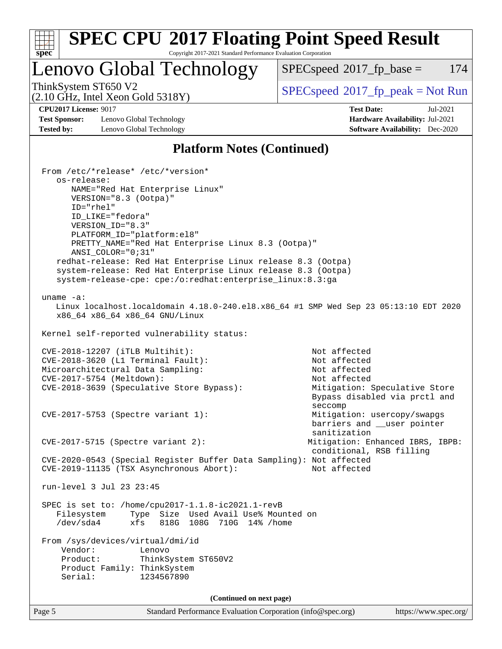| <b>SPEC CPU®2017 Floating Point Speed Result</b><br>Copyright 2017-2021 Standard Performance Evaluation Corporation<br>$spec^*$                                                                                                                                                                                                                                                                                                                                                                                                                                                   |                                                                                                            |
|-----------------------------------------------------------------------------------------------------------------------------------------------------------------------------------------------------------------------------------------------------------------------------------------------------------------------------------------------------------------------------------------------------------------------------------------------------------------------------------------------------------------------------------------------------------------------------------|------------------------------------------------------------------------------------------------------------|
| Lenovo Global Technology                                                                                                                                                                                                                                                                                                                                                                                                                                                                                                                                                          | $SPEC speed^{\circ}2017$ _fp_base =<br>174                                                                 |
| ThinkSystem ST650 V2<br>(2.10 GHz, Intel Xeon Gold 5318Y)                                                                                                                                                                                                                                                                                                                                                                                                                                                                                                                         | $SPEC speed^{\circ}2017\_fp\_peak = Not Run$                                                               |
| <b>CPU2017 License: 9017</b><br><b>Test Sponsor:</b><br>Lenovo Global Technology<br><b>Tested by:</b><br>Lenovo Global Technology                                                                                                                                                                                                                                                                                                                                                                                                                                                 | <b>Test Date:</b><br>Jul-2021<br>Hardware Availability: Jul-2021<br><b>Software Availability:</b> Dec-2020 |
| <b>Platform Notes (Continued)</b>                                                                                                                                                                                                                                                                                                                                                                                                                                                                                                                                                 |                                                                                                            |
| From /etc/*release* /etc/*version*<br>os-release:<br>NAME="Red Hat Enterprise Linux"<br>VERSION="8.3 (Ootpa)"<br>ID="rhel"<br>ID_LIKE="fedora"<br>VERSION_ID="8.3"<br>PLATFORM_ID="platform:el8"<br>PRETTY_NAME="Red Hat Enterprise Linux 8.3 (Ootpa)"<br>ANSI COLOR="0;31"<br>redhat-release: Red Hat Enterprise Linux release 8.3 (Ootpa)<br>system-release: Red Hat Enterprise Linux release 8.3 (Ootpa)<br>system-release-cpe: cpe:/o:redhat:enterprise_linux:8.3:ga<br>uname $-a$ :<br>Linux localhost.localdomain 4.18.0-240.el8.x86_64 #1 SMP Wed Sep 23 05:13:10 EDT 2020 |                                                                                                            |
| x86_64 x86_64 x86_64 GNU/Linux<br>Kernel self-reported vulnerability status:<br>CVE-2018-12207 (iTLB Multihit):<br>CVE-2018-3620 (L1 Terminal Fault):                                                                                                                                                                                                                                                                                                                                                                                                                             | Not affected<br>Not affected                                                                               |
| Microarchitectural Data Sampling:<br>CVE-2017-5754 (Meltdown):<br>CVE-2018-3639 (Speculative Store Bypass):                                                                                                                                                                                                                                                                                                                                                                                                                                                                       | Not affected<br>Not affected<br>Mitigation: Speculative Store<br>Bypass disabled via prctl and<br>seccomp  |
| CVE-2017-5753 (Spectre variant 1):                                                                                                                                                                                                                                                                                                                                                                                                                                                                                                                                                | Mitigation: usercopy/swapgs<br>barriers and __user pointer<br>sanitization                                 |
| CVE-2017-5715 (Spectre variant 2):                                                                                                                                                                                                                                                                                                                                                                                                                                                                                                                                                | Mitigation: Enhanced IBRS, IBPB:<br>conditional, RSB filling                                               |
| CVE-2020-0543 (Special Register Buffer Data Sampling): Not affected<br>CVE-2019-11135 (TSX Asynchronous Abort):                                                                                                                                                                                                                                                                                                                                                                                                                                                                   | Not affected                                                                                               |
| run-level 3 Jul 23 23:45                                                                                                                                                                                                                                                                                                                                                                                                                                                                                                                                                          |                                                                                                            |
| SPEC is set to: /home/cpu2017-1.1.8-ic2021.1-revB<br>Type Size Used Avail Use% Mounted on<br>Filesystem<br>$/\text{dev/sda4}$<br>xfs<br>818G 108G 710G 14% / home                                                                                                                                                                                                                                                                                                                                                                                                                 |                                                                                                            |
| From /sys/devices/virtual/dmi/id<br>Vendor:<br>Lenovo<br>Product:<br>ThinkSystem ST650V2<br>Product Family: ThinkSystem<br>Serial:<br>1234567890                                                                                                                                                                                                                                                                                                                                                                                                                                  |                                                                                                            |
| (Continued on next page)                                                                                                                                                                                                                                                                                                                                                                                                                                                                                                                                                          |                                                                                                            |
| Page 5<br>Standard Performance Evaluation Corporation (info@spec.org)                                                                                                                                                                                                                                                                                                                                                                                                                                                                                                             | https://www.spec.org/                                                                                      |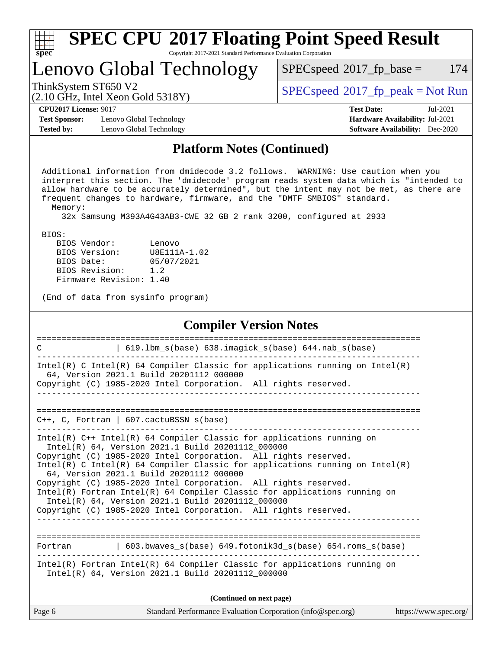| <b>SPEC CPU®2017 Floating Point Speed Result</b><br>Copyright 2017-2021 Standard Performance Evaluation Corporation<br>spec <sup>®</sup>                                                                                                                                                                                                                                                                                                                                                                                                                                                                                      |                                                                                                            |
|-------------------------------------------------------------------------------------------------------------------------------------------------------------------------------------------------------------------------------------------------------------------------------------------------------------------------------------------------------------------------------------------------------------------------------------------------------------------------------------------------------------------------------------------------------------------------------------------------------------------------------|------------------------------------------------------------------------------------------------------------|
| Lenovo Global Technology                                                                                                                                                                                                                                                                                                                                                                                                                                                                                                                                                                                                      | 174<br>$SPEC speed^{\circ}2017$ fp base =                                                                  |
| ThinkSystem ST650 V2<br>$(2.10 \text{ GHz}, \text{Intel Xeon Gold } 5318 \text{Y})$                                                                                                                                                                                                                                                                                                                                                                                                                                                                                                                                           | $SPEC speed^{\circ}2017\_fp\_peak = Not Run$                                                               |
| <b>CPU2017 License: 9017</b><br><b>Test Sponsor:</b><br>Lenovo Global Technology<br><b>Tested by:</b><br>Lenovo Global Technology                                                                                                                                                                                                                                                                                                                                                                                                                                                                                             | <b>Test Date:</b><br>Jul-2021<br>Hardware Availability: Jul-2021<br><b>Software Availability:</b> Dec-2020 |
| <b>Platform Notes (Continued)</b>                                                                                                                                                                                                                                                                                                                                                                                                                                                                                                                                                                                             |                                                                                                            |
| Additional information from dmidecode 3.2 follows. WARNING: Use caution when you<br>interpret this section. The 'dmidecode' program reads system data which is "intended to<br>allow hardware to be accurately determined", but the intent may not be met, as there are<br>frequent changes to hardware, firmware, and the "DMTF SMBIOS" standard.<br>Memory:<br>32x Samsung M393A4G43AB3-CWE 32 GB 2 rank 3200, configured at 2933<br>BIOS:<br>BIOS Vendor:<br>Lenovo<br>BIOS Version:<br>U8E111A-1.02<br>BIOS Date:<br>05/07/2021<br>BIOS Revision:<br>1.2<br>Firmware Revision: 1.40<br>(End of data from sysinfo program) |                                                                                                            |
| <b>Compiler Version Notes</b>                                                                                                                                                                                                                                                                                                                                                                                                                                                                                                                                                                                                 |                                                                                                            |
| 619.1bm_s(base) 638.imagick_s(base) 644.nab_s(base)<br>C                                                                                                                                                                                                                                                                                                                                                                                                                                                                                                                                                                      |                                                                                                            |
| $Intel(R)$ C Intel(R) 64 Compiler Classic for applications running on Intel(R)<br>64, Version 2021.1 Build 20201112_000000<br>Copyright (C) 1985-2020 Intel Corporation.                                                                                                                                                                                                                                                                                                                                                                                                                                                      | All rights reserved.                                                                                       |
| $C++$ , C, Fortran   607.cactuBSSN_s(base)                                                                                                                                                                                                                                                                                                                                                                                                                                                                                                                                                                                    |                                                                                                            |
| $Intel(R)$ C++ Intel(R) 64 Compiler Classic for applications running on<br>Intel(R) 64, Version 2021.1 Build 20201112_000000<br>Copyright (C) 1985-2020 Intel Corporation. All rights reserved.<br>Intel(R) C Intel(R) 64 Compiler Classic for applications running on Intel(R)<br>64, Version 2021.1 Build 20201112_000000<br>Copyright (C) 1985-2020 Intel Corporation. All rights reserved.<br>Intel(R) Fortran Intel(R) 64 Compiler Classic for applications running on<br>Intel(R) 64, Version 2021.1 Build 20201112_000000<br>Copyright (C) 1985-2020 Intel Corporation. All rights reserved.                           |                                                                                                            |
| $\vert$ 603.bwaves_s(base) 649.fotonik3d_s(base) 654.roms_s(base)<br>Fortran                                                                                                                                                                                                                                                                                                                                                                                                                                                                                                                                                  |                                                                                                            |
| Intel(R) Fortran Intel(R) 64 Compiler Classic for applications running on<br>Intel(R) 64, Version 2021.1 Build 20201112_000000                                                                                                                                                                                                                                                                                                                                                                                                                                                                                                |                                                                                                            |
| (Continued on next page)                                                                                                                                                                                                                                                                                                                                                                                                                                                                                                                                                                                                      |                                                                                                            |
| Page 6<br>Standard Performance Evaluation Corporation (info@spec.org)                                                                                                                                                                                                                                                                                                                                                                                                                                                                                                                                                         | https://www.spec.org/                                                                                      |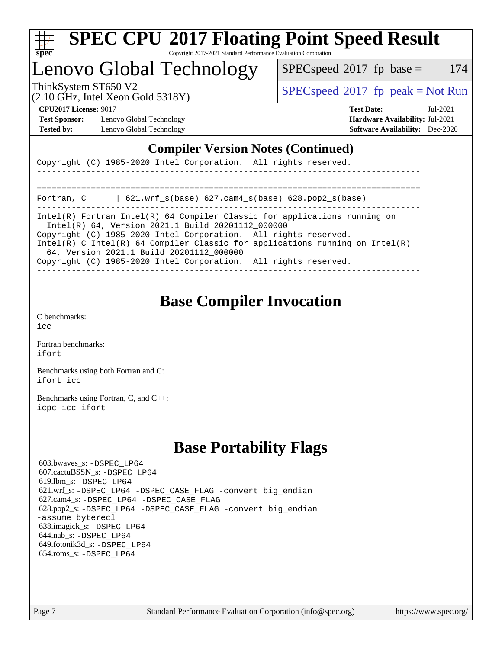| ×.<br>€<br>٠ |  |  |  |  |  |  |  |  |  |
|--------------|--|--|--|--|--|--|--|--|--|

# **[SPEC CPU](http://www.spec.org/auto/cpu2017/Docs/result-fields.html#SPECCPU2017FloatingPointSpeedResult)[2017 Floating Point Speed Result](http://www.spec.org/auto/cpu2017/Docs/result-fields.html#SPECCPU2017FloatingPointSpeedResult)**

Copyright 2017-2021 Standard Performance Evaluation Corporation

### Lenovo Global Technology

 $SPECspeed^{\circledcirc}2017_fp\_base = 174$  $SPECspeed^{\circledcirc}2017_fp\_base = 174$ 

(2.10 GHz, Intel Xeon Gold 5318Y)

ThinkSystem ST650 V2<br>  $SPECspeed^{\circ}2017\_fp\_peak = Not Run$  $SPECspeed^{\circ}2017\_fp\_peak = Not Run$ 

**[Test Sponsor:](http://www.spec.org/auto/cpu2017/Docs/result-fields.html#TestSponsor)** Lenovo Global Technology **[Hardware Availability:](http://www.spec.org/auto/cpu2017/Docs/result-fields.html#HardwareAvailability)** Jul-2021 **[Tested by:](http://www.spec.org/auto/cpu2017/Docs/result-fields.html#Testedby)** Lenovo Global Technology **[Software Availability:](http://www.spec.org/auto/cpu2017/Docs/result-fields.html#SoftwareAvailability)** Dec-2020

**[CPU2017 License:](http://www.spec.org/auto/cpu2017/Docs/result-fields.html#CPU2017License)** 9017 **[Test Date:](http://www.spec.org/auto/cpu2017/Docs/result-fields.html#TestDate)** Jul-2021

### **[Compiler Version Notes \(Continued\)](http://www.spec.org/auto/cpu2017/Docs/result-fields.html#CompilerVersionNotes)**

Copyright (C) 1985-2020 Intel Corporation. All rights reserved.

```
==============================================================================
```
Fortran, C | 621.wrf\_s(base) 627.cam4\_s(base) 628.pop2\_s(base) ------------------------------------------------------------------------------

```
Intel(R) Fortran Intel(R) 64 Compiler Classic for applications running on
```
Intel(R) 64, Version 2021.1 Build 20201112\_000000

Copyright (C) 1985-2020 Intel Corporation. All rights reserved.

Intel(R) C Intel(R) 64 Compiler Classic for applications running on Intel(R) 64, Version 2021.1 Build 20201112\_000000

Copyright (C) 1985-2020 Intel Corporation. All rights reserved.

------------------------------------------------------------------------------

### **[Base Compiler Invocation](http://www.spec.org/auto/cpu2017/Docs/result-fields.html#BaseCompilerInvocation)**

[C benchmarks](http://www.spec.org/auto/cpu2017/Docs/result-fields.html#Cbenchmarks): [icc](http://www.spec.org/cpu2017/results/res2021q3/cpu2017-20210802-28602.flags.html#user_CCbase_intel_icc_66fc1ee009f7361af1fbd72ca7dcefbb700085f36577c54f309893dd4ec40d12360134090235512931783d35fd58c0460139e722d5067c5574d8eaf2b3e37e92)

[Fortran benchmarks](http://www.spec.org/auto/cpu2017/Docs/result-fields.html#Fortranbenchmarks): [ifort](http://www.spec.org/cpu2017/results/res2021q3/cpu2017-20210802-28602.flags.html#user_FCbase_intel_ifort_8111460550e3ca792625aed983ce982f94888b8b503583aa7ba2b8303487b4d8a21a13e7191a45c5fd58ff318f48f9492884d4413fa793fd88dd292cad7027ca)

[Benchmarks using both Fortran and C](http://www.spec.org/auto/cpu2017/Docs/result-fields.html#BenchmarksusingbothFortranandC): [ifort](http://www.spec.org/cpu2017/results/res2021q3/cpu2017-20210802-28602.flags.html#user_CC_FCbase_intel_ifort_8111460550e3ca792625aed983ce982f94888b8b503583aa7ba2b8303487b4d8a21a13e7191a45c5fd58ff318f48f9492884d4413fa793fd88dd292cad7027ca) [icc](http://www.spec.org/cpu2017/results/res2021q3/cpu2017-20210802-28602.flags.html#user_CC_FCbase_intel_icc_66fc1ee009f7361af1fbd72ca7dcefbb700085f36577c54f309893dd4ec40d12360134090235512931783d35fd58c0460139e722d5067c5574d8eaf2b3e37e92)

[Benchmarks using Fortran, C, and C++:](http://www.spec.org/auto/cpu2017/Docs/result-fields.html#BenchmarksusingFortranCandCXX) [icpc](http://www.spec.org/cpu2017/results/res2021q3/cpu2017-20210802-28602.flags.html#user_CC_CXX_FCbase_intel_icpc_c510b6838c7f56d33e37e94d029a35b4a7bccf4766a728ee175e80a419847e808290a9b78be685c44ab727ea267ec2f070ec5dc83b407c0218cded6866a35d07) [icc](http://www.spec.org/cpu2017/results/res2021q3/cpu2017-20210802-28602.flags.html#user_CC_CXX_FCbase_intel_icc_66fc1ee009f7361af1fbd72ca7dcefbb700085f36577c54f309893dd4ec40d12360134090235512931783d35fd58c0460139e722d5067c5574d8eaf2b3e37e92) [ifort](http://www.spec.org/cpu2017/results/res2021q3/cpu2017-20210802-28602.flags.html#user_CC_CXX_FCbase_intel_ifort_8111460550e3ca792625aed983ce982f94888b8b503583aa7ba2b8303487b4d8a21a13e7191a45c5fd58ff318f48f9492884d4413fa793fd88dd292cad7027ca)

### **[Base Portability Flags](http://www.spec.org/auto/cpu2017/Docs/result-fields.html#BasePortabilityFlags)**

 603.bwaves\_s: [-DSPEC\\_LP64](http://www.spec.org/cpu2017/results/res2021q3/cpu2017-20210802-28602.flags.html#suite_basePORTABILITY603_bwaves_s_DSPEC_LP64) 607.cactuBSSN\_s: [-DSPEC\\_LP64](http://www.spec.org/cpu2017/results/res2021q3/cpu2017-20210802-28602.flags.html#suite_basePORTABILITY607_cactuBSSN_s_DSPEC_LP64) 619.lbm\_s: [-DSPEC\\_LP64](http://www.spec.org/cpu2017/results/res2021q3/cpu2017-20210802-28602.flags.html#suite_basePORTABILITY619_lbm_s_DSPEC_LP64) 621.wrf\_s: [-DSPEC\\_LP64](http://www.spec.org/cpu2017/results/res2021q3/cpu2017-20210802-28602.flags.html#suite_basePORTABILITY621_wrf_s_DSPEC_LP64) [-DSPEC\\_CASE\\_FLAG](http://www.spec.org/cpu2017/results/res2021q3/cpu2017-20210802-28602.flags.html#b621.wrf_s_baseCPORTABILITY_DSPEC_CASE_FLAG) [-convert big\\_endian](http://www.spec.org/cpu2017/results/res2021q3/cpu2017-20210802-28602.flags.html#user_baseFPORTABILITY621_wrf_s_convert_big_endian_c3194028bc08c63ac5d04de18c48ce6d347e4e562e8892b8bdbdc0214820426deb8554edfa529a3fb25a586e65a3d812c835984020483e7e73212c4d31a38223) 627.cam4\_s: [-DSPEC\\_LP64](http://www.spec.org/cpu2017/results/res2021q3/cpu2017-20210802-28602.flags.html#suite_basePORTABILITY627_cam4_s_DSPEC_LP64) [-DSPEC\\_CASE\\_FLAG](http://www.spec.org/cpu2017/results/res2021q3/cpu2017-20210802-28602.flags.html#b627.cam4_s_baseCPORTABILITY_DSPEC_CASE_FLAG) 628.pop2\_s: [-DSPEC\\_LP64](http://www.spec.org/cpu2017/results/res2021q3/cpu2017-20210802-28602.flags.html#suite_basePORTABILITY628_pop2_s_DSPEC_LP64) [-DSPEC\\_CASE\\_FLAG](http://www.spec.org/cpu2017/results/res2021q3/cpu2017-20210802-28602.flags.html#b628.pop2_s_baseCPORTABILITY_DSPEC_CASE_FLAG) [-convert big\\_endian](http://www.spec.org/cpu2017/results/res2021q3/cpu2017-20210802-28602.flags.html#user_baseFPORTABILITY628_pop2_s_convert_big_endian_c3194028bc08c63ac5d04de18c48ce6d347e4e562e8892b8bdbdc0214820426deb8554edfa529a3fb25a586e65a3d812c835984020483e7e73212c4d31a38223) [-assume byterecl](http://www.spec.org/cpu2017/results/res2021q3/cpu2017-20210802-28602.flags.html#user_baseFPORTABILITY628_pop2_s_assume_byterecl_7e47d18b9513cf18525430bbf0f2177aa9bf368bc7a059c09b2c06a34b53bd3447c950d3f8d6c70e3faf3a05c8557d66a5798b567902e8849adc142926523472) 638.imagick\_s: [-DSPEC\\_LP64](http://www.spec.org/cpu2017/results/res2021q3/cpu2017-20210802-28602.flags.html#suite_basePORTABILITY638_imagick_s_DSPEC_LP64) 644.nab\_s: [-DSPEC\\_LP64](http://www.spec.org/cpu2017/results/res2021q3/cpu2017-20210802-28602.flags.html#suite_basePORTABILITY644_nab_s_DSPEC_LP64) 649.fotonik3d\_s: [-DSPEC\\_LP64](http://www.spec.org/cpu2017/results/res2021q3/cpu2017-20210802-28602.flags.html#suite_basePORTABILITY649_fotonik3d_s_DSPEC_LP64) 654.roms\_s: [-DSPEC\\_LP64](http://www.spec.org/cpu2017/results/res2021q3/cpu2017-20210802-28602.flags.html#suite_basePORTABILITY654_roms_s_DSPEC_LP64)